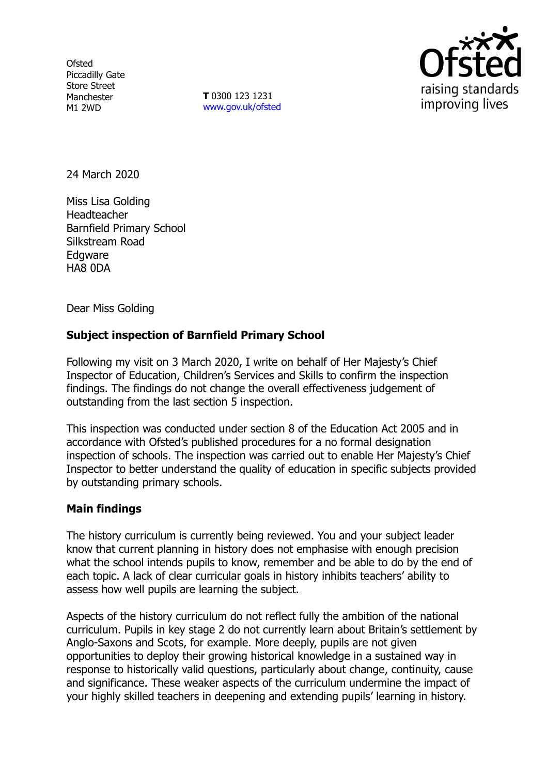**Ofsted** Piccadilly Gate Store Street Manchester M1 2WD

**T** 0300 123 1231 [www.gov.uk/ofsted](http://www.gov.uk/ofsted)



24 March 2020

Miss Lisa Golding Headteacher Barnfield Primary School Silkstream Road **Edgware** HA8 0DA

Dear Miss Golding

## **Subject inspection of Barnfield Primary School**

Following my visit on 3 March 2020, I write on behalf of Her Majesty's Chief Inspector of Education, Children's Services and Skills to confirm the inspection findings. The findings do not change the overall effectiveness judgement of outstanding from the last section 5 inspection.

This inspection was conducted under section 8 of the Education Act 2005 and in accordance with Ofsted's published procedures for a no formal designation inspection of schools. The inspection was carried out to enable Her Majesty's Chief Inspector to better understand the quality of education in specific subjects provided by outstanding primary schools.

## **Main findings**

The history curriculum is currently being reviewed. You and your subject leader know that current planning in history does not emphasise with enough precision what the school intends pupils to know, remember and be able to do by the end of each topic. A lack of clear curricular goals in history inhibits teachers' ability to assess how well pupils are learning the subject.

Aspects of the history curriculum do not reflect fully the ambition of the national curriculum. Pupils in key stage 2 do not currently learn about Britain's settlement by Anglo-Saxons and Scots, for example. More deeply, pupils are not given opportunities to deploy their growing historical knowledge in a sustained way in response to historically valid questions, particularly about change, continuity, cause and significance. These weaker aspects of the curriculum undermine the impact of your highly skilled teachers in deepening and extending pupils' learning in history.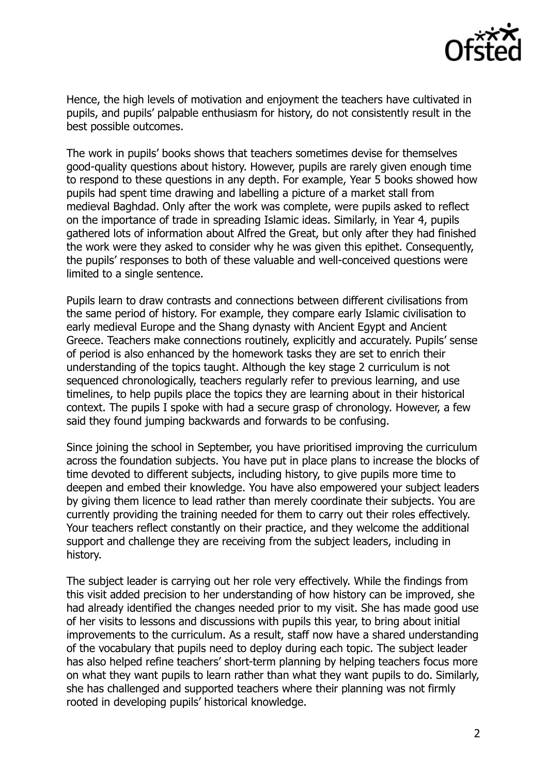

Hence, the high levels of motivation and enjoyment the teachers have cultivated in pupils, and pupils' palpable enthusiasm for history, do not consistently result in the best possible outcomes.

The work in pupils' books shows that teachers sometimes devise for themselves good-quality questions about history. However, pupils are rarely given enough time to respond to these questions in any depth. For example, Year 5 books showed how pupils had spent time drawing and labelling a picture of a market stall from medieval Baghdad. Only after the work was complete, were pupils asked to reflect on the importance of trade in spreading Islamic ideas. Similarly, in Year 4, pupils gathered lots of information about Alfred the Great, but only after they had finished the work were they asked to consider why he was given this epithet. Consequently, the pupils' responses to both of these valuable and well-conceived questions were limited to a single sentence.

Pupils learn to draw contrasts and connections between different civilisations from the same period of history. For example, they compare early Islamic civilisation to early medieval Europe and the Shang dynasty with Ancient Egypt and Ancient Greece. Teachers make connections routinely, explicitly and accurately. Pupils' sense of period is also enhanced by the homework tasks they are set to enrich their understanding of the topics taught. Although the key stage 2 curriculum is not sequenced chronologically, teachers regularly refer to previous learning, and use timelines, to help pupils place the topics they are learning about in their historical context. The pupils I spoke with had a secure grasp of chronology. However, a few said they found jumping backwards and forwards to be confusing.

Since joining the school in September, you have prioritised improving the curriculum across the foundation subjects. You have put in place plans to increase the blocks of time devoted to different subjects, including history, to give pupils more time to deepen and embed their knowledge. You have also empowered your subject leaders by giving them licence to lead rather than merely coordinate their subjects. You are currently providing the training needed for them to carry out their roles effectively. Your teachers reflect constantly on their practice, and they welcome the additional support and challenge they are receiving from the subject leaders, including in history.

The subject leader is carrying out her role very effectively. While the findings from this visit added precision to her understanding of how history can be improved, she had already identified the changes needed prior to my visit. She has made good use of her visits to lessons and discussions with pupils this year, to bring about initial improvements to the curriculum. As a result, staff now have a shared understanding of the vocabulary that pupils need to deploy during each topic. The subject leader has also helped refine teachers' short-term planning by helping teachers focus more on what they want pupils to learn rather than what they want pupils to do. Similarly, she has challenged and supported teachers where their planning was not firmly rooted in developing pupils' historical knowledge.